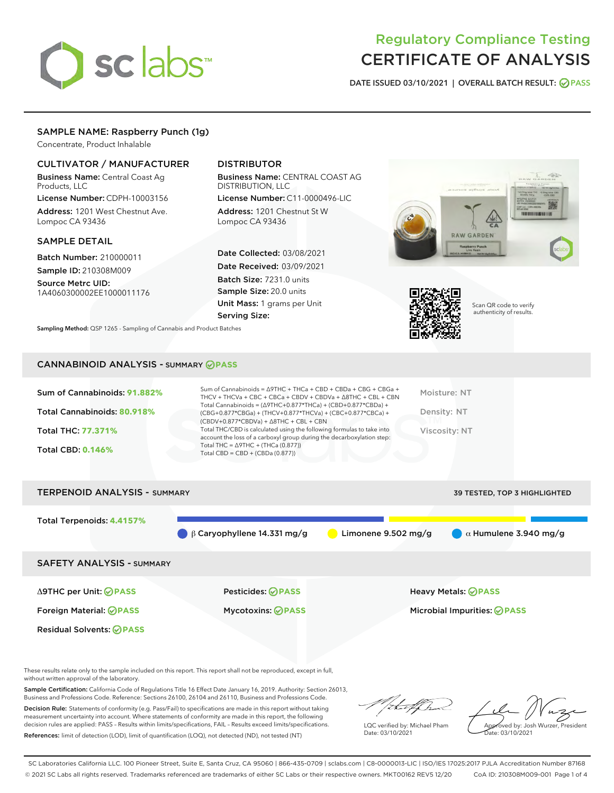# sclabs

# Regulatory Compliance Testing CERTIFICATE OF ANALYSIS

DATE ISSUED 03/10/2021 | OVERALL BATCH RESULT: @ PASS

## SAMPLE NAME: Raspberry Punch (1g)

Concentrate, Product Inhalable

### CULTIVATOR / MANUFACTURER

Business Name: Central Coast Ag Products, LLC

License Number: CDPH-10003156 Address: 1201 West Chestnut Ave. Lompoc CA 93436

#### SAMPLE DETAIL

Batch Number: 210000011 Sample ID: 210308M009

Source Metrc UID: 1A4060300002EE1000011176

# DISTRIBUTOR

Business Name: CENTRAL COAST AG DISTRIBUTION, LLC

License Number: C11-0000496-LIC Address: 1201 Chestnut St W Lompoc CA 93436

Date Collected: 03/08/2021 Date Received: 03/09/2021 Batch Size: 7231.0 units Sample Size: 20.0 units Unit Mass: 1 grams per Unit Serving Size:





Scan QR code to verify authenticity of results.

Sampling Method: QSP 1265 - Sampling of Cannabis and Product Batches

#### CANNABINOID ANALYSIS - SUMMARY **PASS**

|  | Sum of Cannabinoids: 91.882%<br>Total Cannabinoids: 80.918%<br>Total THC: 77.371%<br><b>Total CBD: 0.146%</b> | Sum of Cannabinoids = $\triangle$ 9THC + THCa + CBD + CBDa + CBG + CBGa +<br>THCV + THCVa + CBC + CBCa + CBDV + CBDVa + $\Delta$ 8THC + CBL + CBN<br>Total Cannabinoids = $(\Delta$ 9THC+0.877*THCa) + (CBD+0.877*CBDa) +<br>(CBG+0.877*CBGa) + (THCV+0.877*THCVa) + (CBC+0.877*CBCa) +<br>$(CBDV+0.877*CBDVa) + \Delta 8THC + CBL + CBN$<br>Total THC/CBD is calculated using the following formulas to take into<br>account the loss of a carboxyl group during the decarboxylation step:<br>Total THC = $\triangle$ 9THC + (THCa (0.877))<br>Total CBD = $CBD + (CBDa (0.877))$ | Moisture: NT<br>Density: NT<br>Viscosity: NT |
|--|---------------------------------------------------------------------------------------------------------------|------------------------------------------------------------------------------------------------------------------------------------------------------------------------------------------------------------------------------------------------------------------------------------------------------------------------------------------------------------------------------------------------------------------------------------------------------------------------------------------------------------------------------------------------------------------------------------|----------------------------------------------|
|--|---------------------------------------------------------------------------------------------------------------|------------------------------------------------------------------------------------------------------------------------------------------------------------------------------------------------------------------------------------------------------------------------------------------------------------------------------------------------------------------------------------------------------------------------------------------------------------------------------------------------------------------------------------------------------------------------------------|----------------------------------------------|



These results relate only to the sample included on this report. This report shall not be reproduced, except in full, without written approval of the laboratory.

Sample Certification: California Code of Regulations Title 16 Effect Date January 16, 2019. Authority: Section 26013, Business and Professions Code. Reference: Sections 26100, 26104 and 26110, Business and Professions Code.

Decision Rule: Statements of conformity (e.g. Pass/Fail) to specifications are made in this report without taking measurement uncertainty into account. Where statements of conformity are made in this report, the following decision rules are applied: PASS – Results within limits/specifications, FAIL – Results exceed limits/specifications. References: limit of detection (LOD), limit of quantification (LOQ), not detected (ND), not tested (NT)

that for

LQC verified by: Michael Pham Date: 03/10/2021

Approved by: Josh Wurzer, President ate: 03/10/2021

SC Laboratories California LLC. 100 Pioneer Street, Suite E, Santa Cruz, CA 95060 | 866-435-0709 | sclabs.com | C8-0000013-LIC | ISO/IES 17025:2017 PJLA Accreditation Number 87168 © 2021 SC Labs all rights reserved. Trademarks referenced are trademarks of either SC Labs or their respective owners. MKT00162 REV5 12/20 CoA ID: 210308M009-001 Page 1 of 4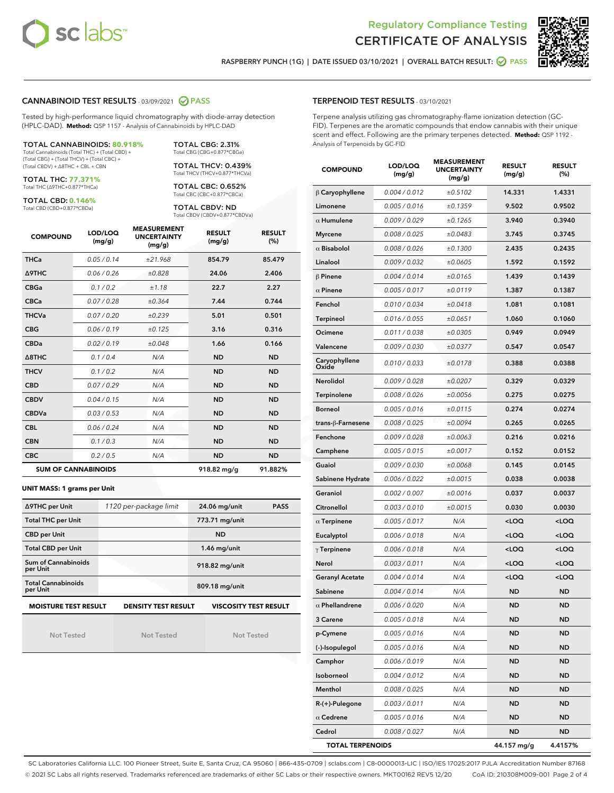



RASPBERRY PUNCH (1G) | DATE ISSUED 03/10/2021 | OVERALL BATCH RESULT: @ PASS

#### CANNABINOID TEST RESULTS - 03/09/2021 2 PASS

Tested by high-performance liquid chromatography with diode-array detection (HPLC-DAD). **Method:** QSP 1157 - Analysis of Cannabinoids by HPLC-DAD

TOTAL CANNABINOIDS: **80.918%** Total Cannabinoids (Total THC) + (Total CBD) + (Total CBG) + (Total THCV) + (Total CBC) +

(Total CBDV) + ∆8THC + CBL + CBN

TOTAL THC: **77.371%** Total THC (∆9THC+0.877\*THCa)

TOTAL CBD: **0.146%**

Total CBD (CBD+0.877\*CBDa)

TOTAL CBG: 2.31% Total CBG (CBG+0.877\*CBGa)

TOTAL THCV: 0.439% Total THCV (THCV+0.877\*THCVa)

TOTAL CBC: 0.652% Total CBC (CBC+0.877\*CBCa)

TOTAL CBDV: ND Total CBDV (CBDV+0.877\*CBDVa)

| <b>COMPOUND</b>  | LOD/LOQ<br>(mg/g)          | <b>MEASUREMENT</b><br><b>UNCERTAINTY</b><br>(mg/g) | <b>RESULT</b><br>(mg/g) | <b>RESULT</b><br>(%) |
|------------------|----------------------------|----------------------------------------------------|-------------------------|----------------------|
| <b>THCa</b>      | 0.05/0.14                  | ±21.968                                            | 854.79                  | 85.479               |
| <b>A9THC</b>     | 0.06 / 0.26                | ±0.828                                             | 24.06                   | 2.406                |
| <b>CBGa</b>      | 0.1/0.2                    | ±1.18                                              | 22.7                    | 2.27                 |
| <b>CBCa</b>      | 0.07/0.28                  | ±0.364                                             | 7.44                    | 0.744                |
| <b>THCVa</b>     | 0.07/0.20                  | ±0.239                                             | 5.01                    | 0.501                |
| <b>CBG</b>       | 0.06/0.19                  | ±0.125                                             | 3.16                    | 0.316                |
| <b>CBDa</b>      | 0.02/0.19                  | ±0.048                                             | 1.66                    | 0.166                |
| $\triangle$ 8THC | 0.1 / 0.4                  | N/A                                                | <b>ND</b>               | <b>ND</b>            |
| <b>THCV</b>      | 0.1/0.2                    | N/A                                                | <b>ND</b>               | <b>ND</b>            |
| <b>CBD</b>       | 0.07/0.29                  | N/A                                                | <b>ND</b>               | <b>ND</b>            |
| <b>CBDV</b>      | 0.04 / 0.15                | N/A                                                | <b>ND</b>               | <b>ND</b>            |
| <b>CBDVa</b>     | 0.03/0.53                  | N/A                                                | <b>ND</b>               | <b>ND</b>            |
| <b>CBL</b>       | 0.06 / 0.24                | N/A                                                | <b>ND</b>               | <b>ND</b>            |
| <b>CBN</b>       | 0.1/0.3                    | N/A                                                | <b>ND</b>               | <b>ND</b>            |
| <b>CBC</b>       | 0.2 / 0.5                  | N/A                                                | <b>ND</b>               | <b>ND</b>            |
|                  | <b>SUM OF CANNABINOIDS</b> |                                                    | 918.82 mg/g             | 91.882%              |

#### **UNIT MASS: 1 grams per Unit**

| ∆9THC per Unit                        | 1120 per-package limit     | <b>PASS</b><br>24.06 mg/unit |  |
|---------------------------------------|----------------------------|------------------------------|--|
| <b>Total THC per Unit</b>             |                            | 773.71 mg/unit               |  |
| <b>CBD per Unit</b>                   |                            | <b>ND</b>                    |  |
| <b>Total CBD per Unit</b>             |                            | $1.46$ mg/unit               |  |
| Sum of Cannabinoids<br>per Unit       |                            | 918.82 mg/unit               |  |
| <b>Total Cannabinoids</b><br>per Unit |                            | 809.18 mg/unit               |  |
| <b>MOISTURE TEST RESULT</b>           | <b>DENSITY TEST RESULT</b> | <b>VISCOSITY TEST RESULT</b> |  |

Not Tested

**MOISTURE TEST RESULT**

Not Tested

Not Tested

#### TERPENOID TEST RESULTS - 03/10/2021

Terpene analysis utilizing gas chromatography-flame ionization detection (GC-FID). Terpenes are the aromatic compounds that endow cannabis with their unique scent and effect. Following are the primary terpenes detected. **Method:** QSP 1192 - Analysis of Terpenoids by GC-FID

| <b>COMPOUND</b>         | LOD/LOQ<br>(mg/g)    | <b>MEASUREMENT</b><br><b>UNCERTAINTY</b><br>(mg/g) | <b>RESULT</b><br>(mg/g)                         | <b>RESULT</b><br>$(\%)$ |
|-------------------------|----------------------|----------------------------------------------------|-------------------------------------------------|-------------------------|
| $\beta$ Caryophyllene   | 0.004 / 0.012        | ±0.5102                                            | 14.331                                          | 1.4331                  |
| Limonene                | 0.005 / 0.016        | ±0.1359                                            | 9.502                                           | 0.9502                  |
| $\alpha$ Humulene       | 0.009 / 0.029        | ±0.1265                                            | 3.940                                           | 0.3940                  |
| <b>Myrcene</b>          | 0.008 / 0.025        | ±0.0483                                            | 3.745                                           | 0.3745                  |
| $\alpha$ Bisabolol      | 0.008 / 0.026        | ±0.1300                                            | 2.435                                           | 0.2435                  |
| Linalool                | 0.009 / 0.032        | ±0.0605                                            | 1.592                                           | 0.1592                  |
| $\beta$ Pinene          | 0.004 / 0.014        | ±0.0165                                            | 1.439                                           | 0.1439                  |
| $\alpha$ Pinene         | 0.005 / 0.017        | ±0.0119                                            | 1.387                                           | 0.1387                  |
| Fenchol                 | 0.010 / 0.034        | ±0.0418                                            | 1.081                                           | 0.1081                  |
| <b>Terpineol</b>        | 0.016 / 0.055        | ±0.0651                                            | 1.060                                           | 0.1060                  |
| Ocimene                 | 0.011 / 0.038        | ±0.0305                                            | 0.949                                           | 0.0949                  |
| Valencene               | 0.009 / 0.030        | ±0.0377                                            | 0.547                                           | 0.0547                  |
| Caryophyllene<br>Oxide  | 0.010 / 0.033        | ±0.0178                                            | 0.388                                           | 0.0388                  |
| Nerolidol               | 0.009 / 0.028        | ±0.0207                                            | 0.329                                           | 0.0329                  |
| Terpinolene             | 0.008 / 0.026        | ±0.0056                                            | 0.275                                           | 0.0275                  |
| <b>Borneol</b>          | 0.005 / 0.016        | ±0.0115                                            | 0.274                                           | 0.0274                  |
| trans-ß-Farnesene       | 0.008 / 0.025        | ±0.0094                                            | 0.265                                           | 0.0265                  |
| Fenchone                | 0.009 / 0.028        | ±0.0063                                            | 0.216                                           | 0.0216                  |
| Camphene                | 0.005 / 0.015        | ±0.0017                                            | 0.152                                           | 0.0152                  |
| Guaiol                  | 0.009 / 0.030        | ±0.0068                                            | 0.145                                           | 0.0145                  |
| Sabinene Hydrate        | 0.006 / 0.022        | ±0.0015                                            | 0.038                                           | 0.0038                  |
| Geraniol                | 0.002 / 0.007        | ±0.0016                                            | 0.037                                           | 0.0037                  |
| Citronellol             | 0.003 / 0.010        | ±0.0015                                            | 0.030                                           | 0.0030                  |
| $\alpha$ Terpinene      | 0.005 / 0.017        | N/A                                                | <loq< th=""><th><loq< th=""></loq<></th></loq<> | <loq< th=""></loq<>     |
| Eucalyptol              | 0.006 / 0.018        | N/A                                                | <loq< th=""><th><loq< th=""></loq<></th></loq<> | <loq< th=""></loq<>     |
| $\gamma$ Terpinene      | 0.006 / 0.018        | N/A                                                | <loq< th=""><th><loq< th=""></loq<></th></loq<> | <loq< th=""></loq<>     |
| Nerol                   | 0.003 / 0.011        | N/A                                                | <loq< th=""><th><loq< th=""></loq<></th></loq<> | <loq< th=""></loq<>     |
| <b>Geranyl Acetate</b>  | 0.004 / 0.014        | N/A                                                | $<$ LOQ                                         | <loq< th=""></loq<>     |
| Sabinene                | 0.004 / 0.014        | N/A                                                | ND                                              | ND                      |
| $\alpha$ Phellandrene   | <i>0.006 / 0.020</i> | N/A                                                | <b>ND</b>                                       | ND                      |
| 3 Carene                | 0.005 / 0.018        | N/A                                                | ND                                              | ND                      |
| p-Cymene                | 0.005 / 0.016        | N/A                                                | ND                                              | ND                      |
| (-)-Isopulegol          | 0.005 / 0.016        | N/A                                                | ND                                              | ND                      |
| Camphor                 | 0.006 / 0.019        | N/A                                                | ND                                              | ND                      |
| Isoborneol              | 0.004 / 0.012        | N/A                                                | ND                                              | ND                      |
| Menthol                 | 0.008 / 0.025        | N/A                                                | ND                                              | ND                      |
| R-(+)-Pulegone          | 0.003 / 0.011        | N/A                                                | ND                                              | ND                      |
| $\alpha$ Cedrene        | 0.005 / 0.016        | N/A                                                | ND                                              | ND                      |
| Cedrol                  | 0.008 / 0.027        | N/A                                                | ND                                              | ND                      |
| <b>TOTAL TERPENOIDS</b> |                      |                                                    | 44.157 mg/g                                     | 4.4157%                 |

SC Laboratories California LLC. 100 Pioneer Street, Suite E, Santa Cruz, CA 95060 | 866-435-0709 | sclabs.com | C8-0000013-LIC | ISO/IES 17025:2017 PJLA Accreditation Number 87168 © 2021 SC Labs all rights reserved. Trademarks referenced are trademarks of either SC Labs or their respective owners. MKT00162 REV5 12/20 CoA ID: 210308M009-001 Page 2 of 4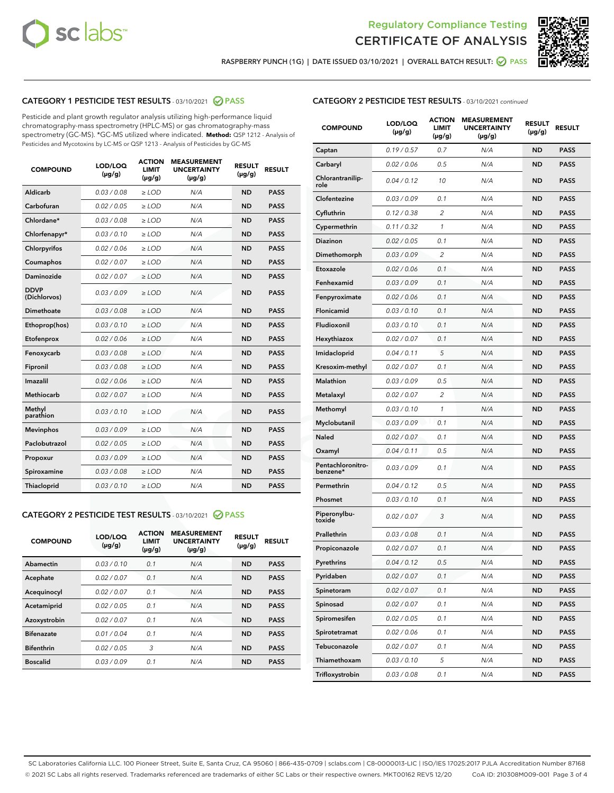



RASPBERRY PUNCH (1G) | DATE ISSUED 03/10/2021 | OVERALL BATCH RESULT: @ PASS

# CATEGORY 1 PESTICIDE TEST RESULTS - 03/10/2021 2 PASS

Pesticide and plant growth regulator analysis utilizing high-performance liquid chromatography-mass spectrometry (HPLC-MS) or gas chromatography-mass spectrometry (GC-MS). \*GC-MS utilized where indicated. **Method:** QSP 1212 - Analysis of Pesticides and Mycotoxins by LC-MS or QSP 1213 - Analysis of Pesticides by GC-MS

| <b>COMPOUND</b>             | LOD/LOQ<br>$(\mu g/g)$ | <b>ACTION</b><br><b>LIMIT</b><br>$(\mu q/q)$ | <b>MEASUREMENT</b><br><b>UNCERTAINTY</b><br>$(\mu g/g)$ | <b>RESULT</b><br>$(\mu g/g)$ | <b>RESULT</b> |
|-----------------------------|------------------------|----------------------------------------------|---------------------------------------------------------|------------------------------|---------------|
| Aldicarb                    | 0.03 / 0.08            | $\ge$ LOD                                    | N/A                                                     | <b>ND</b>                    | <b>PASS</b>   |
| Carbofuran                  | 0.02/0.05              | $>$ LOD                                      | N/A                                                     | <b>ND</b>                    | <b>PASS</b>   |
| Chlordane*                  | 0.03 / 0.08            | $\ge$ LOD                                    | N/A                                                     | <b>ND</b>                    | <b>PASS</b>   |
| Chlorfenapyr*               | 0.03/0.10              | $\ge$ LOD                                    | N/A                                                     | <b>ND</b>                    | <b>PASS</b>   |
| Chlorpyrifos                | 0.02 / 0.06            | $\ge$ LOD                                    | N/A                                                     | <b>ND</b>                    | <b>PASS</b>   |
| Coumaphos                   | 0.02 / 0.07            | $>$ LOD                                      | N/A                                                     | <b>ND</b>                    | <b>PASS</b>   |
| <b>Daminozide</b>           | 0.02 / 0.07            | $\ge$ LOD                                    | N/A                                                     | <b>ND</b>                    | <b>PASS</b>   |
| <b>DDVP</b><br>(Dichlorvos) | 0.03/0.09              | $\ge$ LOD                                    | N/A                                                     | <b>ND</b>                    | <b>PASS</b>   |
| <b>Dimethoate</b>           | 0.03 / 0.08            | $\ge$ LOD                                    | N/A                                                     | <b>ND</b>                    | <b>PASS</b>   |
| Ethoprop(hos)               | 0.03/0.10              | $\ge$ LOD                                    | N/A                                                     | <b>ND</b>                    | <b>PASS</b>   |
| Etofenprox                  | 0.02 / 0.06            | $\ge$ LOD                                    | N/A                                                     | <b>ND</b>                    | <b>PASS</b>   |
| Fenoxycarb                  | 0.03 / 0.08            | $\ge$ LOD                                    | N/A                                                     | <b>ND</b>                    | <b>PASS</b>   |
| Fipronil                    | 0.03/0.08              | $>$ LOD                                      | N/A                                                     | <b>ND</b>                    | <b>PASS</b>   |
| Imazalil                    | 0.02 / 0.06            | $\ge$ LOD                                    | N/A                                                     | <b>ND</b>                    | <b>PASS</b>   |
| Methiocarb                  | 0.02 / 0.07            | $\ge$ LOD                                    | N/A                                                     | <b>ND</b>                    | <b>PASS</b>   |
| Methyl<br>parathion         | 0.03/0.10              | $>$ LOD                                      | N/A                                                     | <b>ND</b>                    | <b>PASS</b>   |
| <b>Mevinphos</b>            | 0.03/0.09              | $>$ LOD                                      | N/A                                                     | <b>ND</b>                    | <b>PASS</b>   |
| Paclobutrazol               | 0.02 / 0.05            | $\ge$ LOD                                    | N/A                                                     | <b>ND</b>                    | <b>PASS</b>   |
| Propoxur                    | 0.03/0.09              | $\ge$ LOD                                    | N/A                                                     | <b>ND</b>                    | <b>PASS</b>   |
| Spiroxamine                 | 0.03 / 0.08            | $\ge$ LOD                                    | N/A                                                     | <b>ND</b>                    | <b>PASS</b>   |
| <b>Thiacloprid</b>          | 0.03/0.10              | $\ge$ LOD                                    | N/A                                                     | <b>ND</b>                    | <b>PASS</b>   |

#### CATEGORY 2 PESTICIDE TEST RESULTS - 03/10/2021 @ PASS

| <b>COMPOUND</b>   | LOD/LOQ<br>$(\mu g/g)$ | <b>ACTION</b><br><b>LIMIT</b><br>$(\mu g/g)$ | <b>MEASUREMENT</b><br><b>UNCERTAINTY</b><br>$(\mu g/g)$ | <b>RESULT</b><br>$(\mu g/g)$ | <b>RESULT</b> |
|-------------------|------------------------|----------------------------------------------|---------------------------------------------------------|------------------------------|---------------|
| Abamectin         | 0.03/0.10              | 0.1                                          | N/A                                                     | <b>ND</b>                    | <b>PASS</b>   |
| Acephate          | 0.02/0.07              | 0.1                                          | N/A                                                     | <b>ND</b>                    | <b>PASS</b>   |
| Acequinocyl       | 0.02/0.07              | 0.1                                          | N/A                                                     | <b>ND</b>                    | <b>PASS</b>   |
| Acetamiprid       | 0.02/0.05              | 0.1                                          | N/A                                                     | <b>ND</b>                    | <b>PASS</b>   |
| Azoxystrobin      | 0.02/0.07              | 0.1                                          | N/A                                                     | <b>ND</b>                    | <b>PASS</b>   |
| <b>Bifenazate</b> | 0.01/0.04              | 0.1                                          | N/A                                                     | <b>ND</b>                    | <b>PASS</b>   |
| <b>Bifenthrin</b> | 0.02/0.05              | 3                                            | N/A                                                     | <b>ND</b>                    | <b>PASS</b>   |
| <b>Boscalid</b>   | 0.03/0.09              | 0.1                                          | N/A                                                     | <b>ND</b>                    | <b>PASS</b>   |

| <b>CATEGORY 2 PESTICIDE TEST RESULTS</b> - 03/10/2021 continued |
|-----------------------------------------------------------------|
|-----------------------------------------------------------------|

| <b>COMPOUND</b>               | LOD/LOQ<br>$(\mu g/g)$ | <b>ACTION</b><br>LIMIT<br>$(\mu g/g)$ | <b>MEASUREMENT</b><br><b>UNCERTAINTY</b><br>(µg/g) | <b>RESULT</b><br>(µg/g) | <b>RESULT</b> |
|-------------------------------|------------------------|---------------------------------------|----------------------------------------------------|-------------------------|---------------|
| Captan                        | 0.19/0.57              | 0.7                                   | N/A                                                | ND                      | <b>PASS</b>   |
| Carbaryl                      | 0.02 / 0.06            | 0.5                                   | N/A                                                | ND                      | <b>PASS</b>   |
| Chlorantranilip-<br>role      | 0.04 / 0.12            | 10                                    | N/A                                                | ND                      | <b>PASS</b>   |
| Clofentezine                  | 0.03 / 0.09            | 0.1                                   | N/A                                                | ND                      | <b>PASS</b>   |
| Cyfluthrin                    | 0.12 / 0.38            | 2                                     | N/A                                                | ND                      | <b>PASS</b>   |
| Cypermethrin                  | 0.11 / 0.32            | 1                                     | N/A                                                | ND                      | <b>PASS</b>   |
| Diazinon                      | 0.02 / 0.05            | 0.1                                   | N/A                                                | ND                      | <b>PASS</b>   |
| Dimethomorph                  | 0.03 / 0.09            | 2                                     | N/A                                                | ND                      | <b>PASS</b>   |
| Etoxazole                     | 0.02 / 0.06            | 0.1                                   | N/A                                                | ND                      | <b>PASS</b>   |
| Fenhexamid                    | 0.03 / 0.09            | 0.1                                   | N/A                                                | ND                      | <b>PASS</b>   |
| Fenpyroximate                 | 0.02 / 0.06            | 0.1                                   | N/A                                                | ND                      | <b>PASS</b>   |
| Flonicamid                    | 0.03 / 0.10            | 0.1                                   | N/A                                                | ND                      | <b>PASS</b>   |
| Fludioxonil                   | 0.03 / 0.10            | 0.1                                   | N/A                                                | ND                      | <b>PASS</b>   |
| Hexythiazox                   | 0.02 / 0.07            | 0.1                                   | N/A                                                | ND                      | <b>PASS</b>   |
| Imidacloprid                  | 0.04 / 0.11            | 5                                     | N/A                                                | ND                      | <b>PASS</b>   |
| Kresoxim-methyl               | 0.02 / 0.07            | 0.1                                   | N/A                                                | ND                      | <b>PASS</b>   |
| <b>Malathion</b>              | 0.03 / 0.09            | 0.5                                   | N/A                                                | ND                      | <b>PASS</b>   |
| Metalaxyl                     | 0.02 / 0.07            | 2                                     | N/A                                                | ND                      | <b>PASS</b>   |
| Methomyl                      | 0.03 / 0.10            | 1                                     | N/A                                                | ND                      | <b>PASS</b>   |
| Myclobutanil                  | 0.03/0.09              | 0.1                                   | N/A                                                | ND                      | <b>PASS</b>   |
| Naled                         | 0.02 / 0.07            | 0.1                                   | N/A                                                | ND                      | <b>PASS</b>   |
| Oxamyl                        | 0.04 / 0.11            | 0.5                                   | N/A                                                | ND                      | <b>PASS</b>   |
| Pentachloronitro-<br>benzene* | 0.03 / 0.09            | 0.1                                   | N/A                                                | ND                      | <b>PASS</b>   |
| Permethrin                    | 0.04 / 0.12            | 0.5                                   | N/A                                                | ND                      | <b>PASS</b>   |
| Phosmet                       | 0.03 / 0.10            | 0.1                                   | N/A                                                | ND                      | PASS          |
| Piperonylbu-<br>toxide        | 0.02 / 0.07            | 3                                     | N/A                                                | ND                      | <b>PASS</b>   |
| Prallethrin                   | 0.03 / 0.08            | 0.1                                   | N/A                                                | ND                      | <b>PASS</b>   |
| Propiconazole                 | 0.02 / 0.07            | 0.1                                   | N/A                                                | ND                      | <b>PASS</b>   |
| Pyrethrins                    | 0.04 / 0.12            | 0.5                                   | N/A                                                | ND                      | PASS          |
| Pyridaben                     | 0.02 / 0.07            | 0.1                                   | N/A                                                | ND                      | <b>PASS</b>   |
| Spinetoram                    | 0.02 / 0.07            | 0.1                                   | N/A                                                | <b>ND</b>               | <b>PASS</b>   |
| Spinosad                      | 0.02 / 0.07            | 0.1                                   | N/A                                                | ND                      | <b>PASS</b>   |
| Spiromesifen                  | 0.02 / 0.05            | 0.1                                   | N/A                                                | ND                      | <b>PASS</b>   |
| Spirotetramat                 | 0.02 / 0.06            | 0.1                                   | N/A                                                | ND                      | <b>PASS</b>   |
| Tebuconazole                  | 0.02 / 0.07            | 0.1                                   | N/A                                                | ND                      | <b>PASS</b>   |
| Thiamethoxam                  | 0.03 / 0.10            | 5                                     | N/A                                                | ND                      | <b>PASS</b>   |
| Trifloxystrobin               | 0.03 / 0.08            | 0.1                                   | N/A                                                | ND                      | <b>PASS</b>   |

SC Laboratories California LLC. 100 Pioneer Street, Suite E, Santa Cruz, CA 95060 | 866-435-0709 | sclabs.com | C8-0000013-LIC | ISO/IES 17025:2017 PJLA Accreditation Number 87168 © 2021 SC Labs all rights reserved. Trademarks referenced are trademarks of either SC Labs or their respective owners. MKT00162 REV5 12/20 CoA ID: 210308M009-001 Page 3 of 4